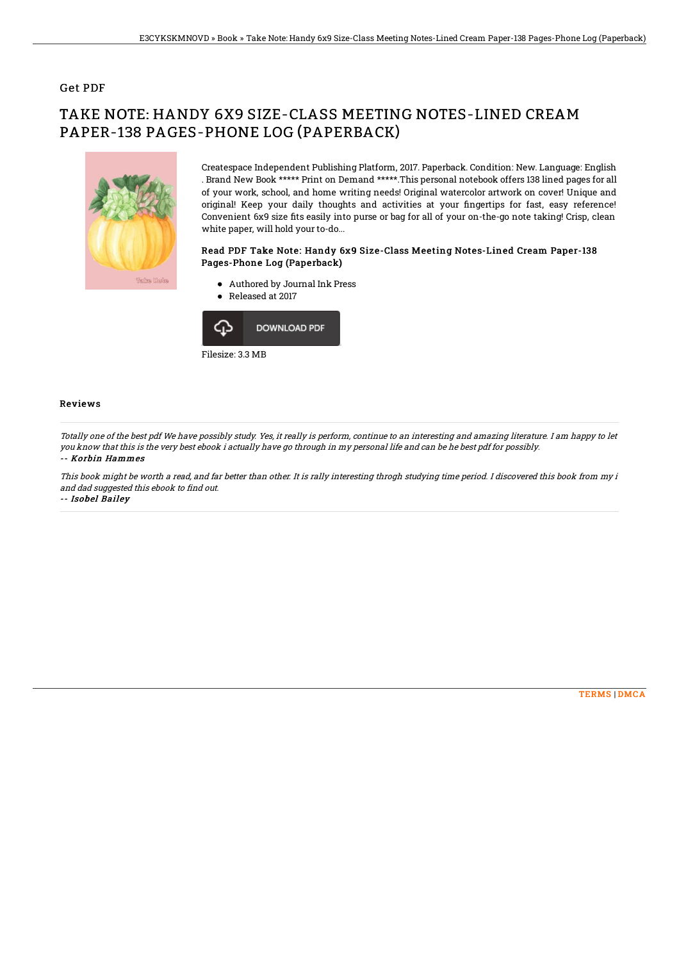## Get PDF

# TAKE NOTE: HANDY 6X9 SIZE-CLASS MEETING NOTES-LINED CREAM PAPER-138 PAGES-PHONE LOG (PAPERBACK)



Createspace Independent Publishing Platform, 2017. Paperback. Condition: New. Language: English . Brand New Book \*\*\*\*\* Print on Demand \*\*\*\*\*.This personal notebook offers 138 lined pages for all of your work, school, and home writing needs! Original watercolor artwork on cover! Unique and original! Keep your daily thoughts and activities at your fingertips for fast, easy reference! Convenient 6x9 size fits easily into purse or bag for all of your on-the-go note taking! Crisp, clean white paper, will hold your to-do...

#### Read PDF Take Note: Handy 6x9 Size-Class Meeting Notes-Lined Cream Paper-138 Pages-Phone Log (Paperback)

- Authored by Journal Ink Press
- Released at 2017



### Reviews

Totally one of the best pdf We have possibly study. Yes, it really is perform, continue to an interesting and amazing literature. I am happy to let you know that this is the very best ebook i actually have go through in my personal life and can be he best pdf for possibly. -- Korbin Hammes

This book might be worth <sup>a</sup> read, and far better than other. It is rally interesting throgh studying time period. I discovered this book from my i and dad suggested this ebook to find out. -- Isobel Bailey